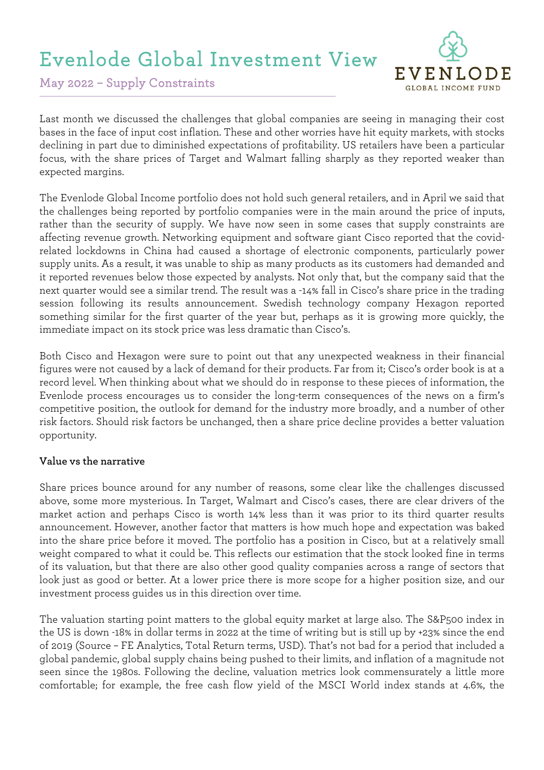# Evenlode Global Investment View



May 2022 – Supply Constraints

Last month we discussed the challenges that global companies are seeing in managing their cost bases in the face of input cost inflation. These and other worries have hit equity markets, with stocks declining in part due to diminished expectations of profitability. US retailers have been a particular focus, with the share prices of Target and Walmart falling sharply as they reported weaker than expected margins.

The Evenlode Global Income portfolio does not hold such general retailers, and in April we said that the challenges being reported by portfolio companies were in the main around the price of inputs, rather than the security of supply. We have now seen in some cases that supply constraints are affecting revenue growth. Networking equipment and software giant Cisco reported that the covidrelated lockdowns in China had caused a shortage of electronic components, particularly power supply units. As a result, it was unable to ship as many products as its customers had demanded and it reported revenues below those expected by analysts. Not only that, but the company said that the next quarter would see a similar trend. The result was a -14% fall in Cisco's share price in the trading session following its results announcement. Swedish technology company Hexagon reported something similar for the first quarter of the year but, perhaps as it is growing more quickly, the immediate impact on its stock price was less dramatic than Cisco's.

Both Cisco and Hexagon were sure to point out that any unexpected weakness in their financial figures were not caused by a lack of demand for their products. Far from it; Cisco's order book is at a record level. When thinking about what we should do in response to these pieces of information, the Evenlode process encourages us to consider the long-term consequences of the news on a firm's competitive position, the outlook for demand for the industry more broadly, and a number of other risk factors. Should risk factors be unchanged, then a share price decline provides a better valuation opportunity.

#### **Value vs the narrative**

Share prices bounce around for any number of reasons, some clear like the challenges discussed above, some more mysterious. In Target, Walmart and Cisco's cases, there are clear drivers of the market action and perhaps Cisco is worth 14% less than it was prior to its third quarter results announcement. However, another factor that matters is how much hope and expectation was baked into the share price before it moved. The portfolio has a position in Cisco, but at a relatively small weight compared to what it could be. This reflects our estimation that the stock looked fine in terms of its valuation, but that there are also other good quality companies across a range of sectors that look just as good or better. At a lower price there is more scope for a higher position size, and our investment process guides us in this direction over time.

The valuation starting point matters to the global equity market at large also. The S&P500 index in the US is down -18% in dollar terms in 2022 at the time of writing but is still up by +23% since the end of 2019 (Source – FE Analytics, Total Return terms, USD). That's not bad for a period that included a global pandemic, global supply chains being pushed to their limits, and inflation of a magnitude not seen since the 1980s. Following the decline, valuation metrics look commensurately a little more comfortable; for example, the free cash flow yield of the MSCI World index stands at 4.6%, the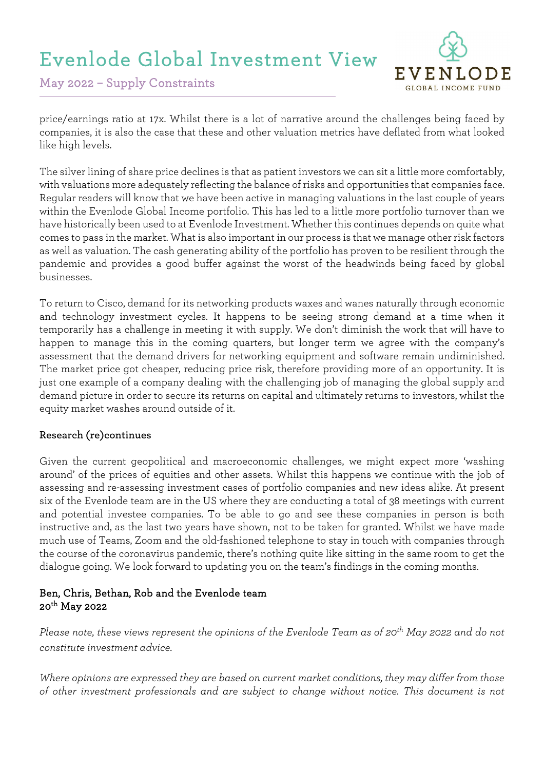# Evenlode Global Investment View



May 2022 – Supply Constraints

price/earnings ratio at 17x. Whilst there is a lot of narrative around the challenges being faced by companies, it is also the case that these and other valuation metrics have deflated from what looked like high levels.

The silver lining of share price declines is that as patient investors we can sit a little more comfortably, with valuations more adequately reflecting the balance of risks and opportunities that companies face. Regular readers will know that we have been active in managing valuations in the last couple of years within the Evenlode Global Income portfolio. This has led to a little more portfolio turnover than we have historically been used to at Evenlode Investment. Whether this continues depends on quite what comes to pass in the market. What is also important in our process is that we manage other risk factors as well as valuation. The cash generating ability of the portfolio has proven to be resilient through the pandemic and provides a good buffer against the worst of the headwinds being faced by global businesses.

To return to Cisco, demand for its networking products waxes and wanes naturally through economic and technology investment cycles. It happens to be seeing strong demand at a time when it temporarily has a challenge in meeting it with supply. We don't diminish the work that will have to happen to manage this in the coming quarters, but longer term we agree with the company's assessment that the demand drivers for networking equipment and software remain undiminished. The market price got cheaper, reducing price risk, therefore providing more of an opportunity. It is just one example of a company dealing with the challenging job of managing the global supply and demand picture in order to secure its returns on capital and ultimately returns to investors, whilst the equity market washes around outside of it.

#### **Research (re)continues**

Given the current geopolitical and macroeconomic challenges, we might expect more 'washing around' of the prices of equities and other assets. Whilst this happens we continue with the job of assessing and re-assessing investment cases of portfolio companies and new ideas alike. At present six of the Evenlode team are in the US where they are conducting a total of 38 meetings with current and potential investee companies. To be able to go and see these companies in person is both instructive and, as the last two years have shown, not to be taken for granted. Whilst we have made much use of Teams, Zoom and the old-fashioned telephone to stay in touch with companies through the course of the coronavirus pandemic, there's nothing quite like sitting in the same room to get the dialogue going. We look forward to updating you on the team's findings in the coming months.

### Ben, Chris, Bethan, Rob and the Evenlode team 20th May 2022

*Please note, these views represent the opinions of the Evenlode Team as of 20th May 2022 and do not constitute investment advice.*

*Where opinions are expressed they are based on current market conditions, they may differ from those of other investment professionals and are subject to change without notice. This document is not*